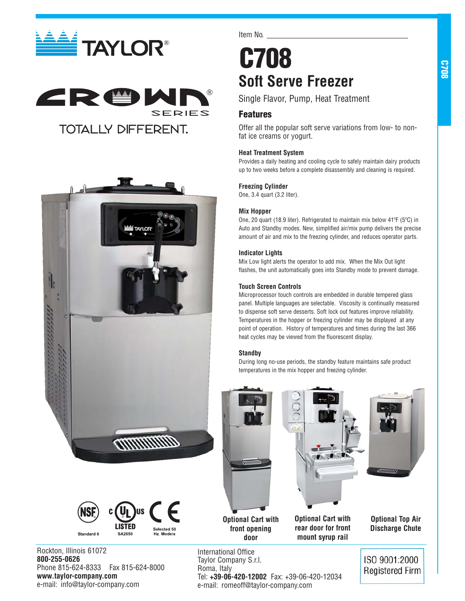







Rockton, Illinois 61072 **800-255-0626** Phone 815-624-8333 Fax 815-624-8000 **www.taylor-company.com** e-mail: info@taylor-company.com

Item No.

# **C708 Soft Serve Freezer**

Single Flavor, Pump, Heat Treatment

# **Features**

Offer all the popular soft serve variations from low- to nonfat ice creams or yogurt.

# **Heat Treatment System**

Provides a daily heating and cooling cycle to safely maintain dairy products up to two weeks before a complete disassembly and cleaning is required.

# **Freezing Cylinder**

One, 3.4 quart (3.2 liter).

# **Mix Hopper**

One, 20 quart (18.9 liter). Refrigerated to maintain mix below 41ºF (5ºC) in Auto and Standby modes. New, simplified air/mix pump delivers the precise amount of air and mix to the freezing cylinder, and reduces operator parts.

# **Indicator Lights**

Mix Low light alerts the operator to add mix. When the Mix Out light flashes, the unit automatically goes into Standby mode to prevent damage.

# **Touch Screen Controls**

Microprocessor touch controls are embedded in durable tempered glass panel. Multiple languages are selectable. Viscosity is continually measured to dispense soft serve desserts. Soft lock out features improve reliability. Temperatures in the hopper or freezing cylinder may be displayed at any point of operation. History of temperatures and times during the last 366 heat cycles may be viewed from the fluorescent display.

## **Standby**

International Office Taylor Company S.r.l.

Tel: **+39-06-420-12002** Fax: +39-06-420-12034

e-mail: romeoff@taylor-company.com

Roma, Italy

During long no-use periods, the standby feature maintains safe product temperatures in the mix hopper and freezing cylinder.



**Optional Top Air Discharge Chute**

ISO 9001:2000 **Registered Firm**